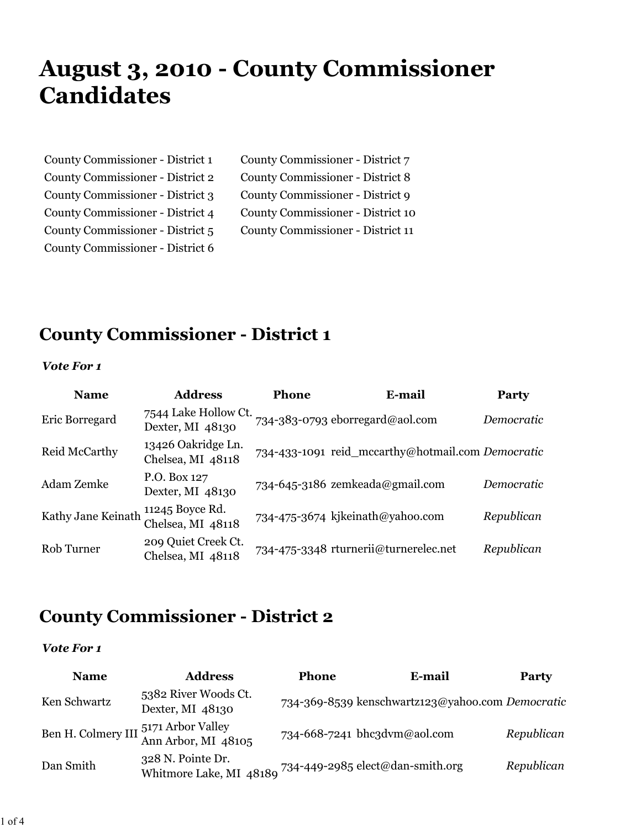# **August 3, 2010 - County Commissioner Candidates**

| County Commissioner - District 1 | County Commissioner - District 7  |
|----------------------------------|-----------------------------------|
| County Commissioner - District 2 | County Commissioner - District 8  |
| County Commissioner - District 3 | County Commissioner - District 9  |
| County Commissioner - District 4 | County Commissioner - District 10 |
| County Commissioner - District 5 | County Commissioner - District 11 |
| County Commissioner - District 6 |                                   |

### **County Commissioner - District 1**

#### *Vote For 1*

| <b>Name</b>        | <b>Address</b>                           | <b>Phone</b> | E-mail                                            | <b>Party</b> |
|--------------------|------------------------------------------|--------------|---------------------------------------------------|--------------|
| Eric Borregard     | 7544 Lake Hollow Ct.<br>Dexter, MI 48130 |              | 734-383-0793 eborregard@aol.com                   | Democratic   |
| Reid McCarthy      | 13426 Oakridge Ln.<br>Chelsea, MI 48118  |              | 734-433-1091 reid_mccarthy@hotmail.com Democratic |              |
| Adam Zemke         | P.O. Box 127<br>Dexter, MI 48130         |              | 734-645-3186 zemkeada@gmail.com                   | Democratic   |
| Kathy Jane Keinath | 11245 Boyce Rd.<br>Chelsea, MI 48118     |              | 734-475-3674 kjkeinath@yahoo.com                  | Republican   |
| Rob Turner         | 209 Quiet Creek Ct.<br>Chelsea, MI 48118 |              | 734-475-3348 rturnerii@turnerelec.net             | Republican   |

### **County Commissioner - District 2**

| <b>Name</b>  | <b>Address</b>                                                                | <b>Phone</b> | E-mail                                           | <b>Party</b> |
|--------------|-------------------------------------------------------------------------------|--------------|--------------------------------------------------|--------------|
| Ken Schwartz | 5382 River Woods Ct.<br>Dexter, MI 48130                                      |              | 734-369-8539 kenschwartz123@yahoo.com Democratic |              |
|              | Ben H. Colmery III 5171 Arbor Valley<br>Ann Arbor, MI 48105                   |              | 734-668-7241 bhc3dvm@aol.com                     | Republican   |
| Dan Smith    | 328 N. Pointe Dr.<br>Whitmore Lake, MI 48180 734-449-2985 elect@dan-smith.org |              |                                                  | Republican   |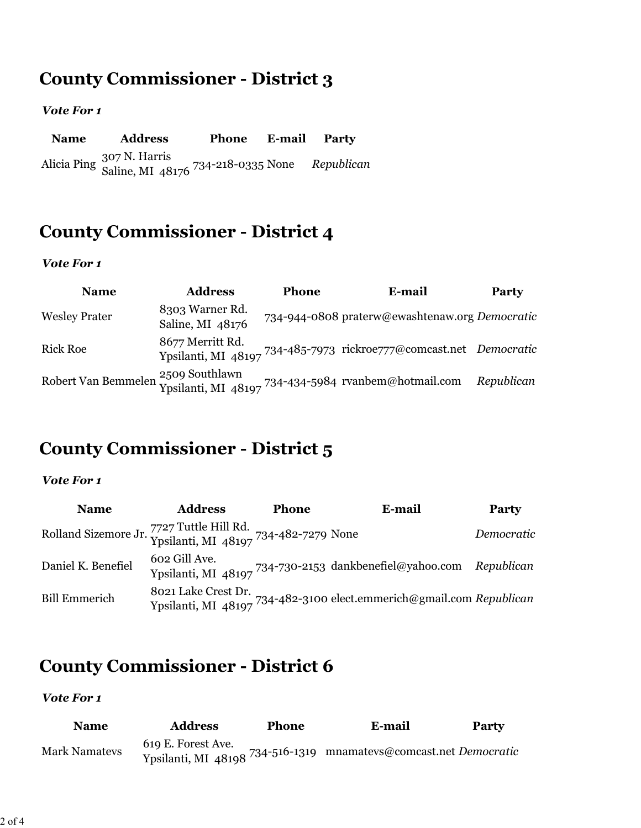# **County Commissioner - District 3**

#### *Vote For 1*

**Name Address Phone E-mail Party** Alicia Ping 307 N. Harris Saline, MI 48176 734-218-0335 None *Republican*

### **County Commissioner - District 4**

#### *Vote For 1*

| <b>Name</b>          | <b>Address</b>                      | <b>Phone</b> | E-mail                                                                                     | <b>Party</b> |
|----------------------|-------------------------------------|--------------|--------------------------------------------------------------------------------------------|--------------|
| <b>Wesley Prater</b> | 8303 Warner Rd.<br>Saline, MI 48176 |              | 734-944-0808 praterw@ewashtenaw.org Democratic                                             |              |
| <b>Rick Roe</b>      | 8677 Merritt Rd.                    |              | Ypsilanti, MI 48197 734-485-7973 rickroe777@comcast.net Democratic                         |              |
|                      |                                     |              | Robert Van Bemmelen 2509 Southlawn<br>Ypsilanti, MI 48197 734-434-5984 rvanbem@hotmail.com | Republican   |

## **County Commissioner - District 5**

#### *Vote For 1*

| <b>Name</b>                                                                        | <b>Address</b> | <b>Phone</b> | E-mail                                                                                      | Party      |
|------------------------------------------------------------------------------------|----------------|--------------|---------------------------------------------------------------------------------------------|------------|
| Rolland Sizemore Jr. 7727 Tuttle Hill Rd.<br>Ypsilanti, MI 48197 734-482-7279 None |                |              |                                                                                             | Democratic |
| Daniel K. Benefiel                                                                 | 602 Gill Ave.  |              | Ypsilanti, MI 48197 734-730-2153 dankbenefiel@yahoo.com Republican                          |            |
| <b>Bill Emmerich</b>                                                               |                |              | 8021 Lake Crest Dr.<br>Ypsilanti, MI 48197 734-482-3100 elect.emmerich@gmail.com Republican |            |

### **County Commissioner - District 6**

| Name                 | <b>Address</b> | <b>Phone</b> | E-mail                                                                                                                                          | <b>Party</b> |
|----------------------|----------------|--------------|-------------------------------------------------------------------------------------------------------------------------------------------------|--------------|
| <b>Mark Namatevs</b> |                |              | $\frac{1}{2}$ The Euler Process 214-516-1319 mnamatevs@comcast.net Democratic Ypsilanti, MI 48198 734-516-1319 mnamatevs@comcast.net Democratic |              |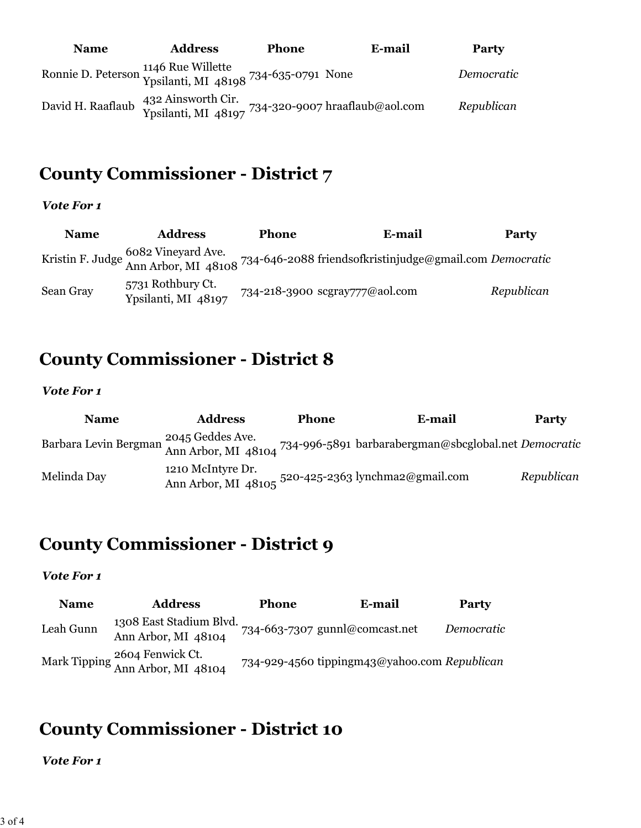| <b>Name</b>       | <b>Address</b> | <b>Phone</b>                                                                              | E-mail | Party      |
|-------------------|----------------|-------------------------------------------------------------------------------------------|--------|------------|
|                   |                | Ronnie D. Peterson 1146 Rue Willette<br>Ypsilanti, MI 48198 <sup>734-6</sup> 35-0791 None |        | Democratic |
| David H. Raaflaub |                | 432 Ainsworth Cir.<br>Ypsilanti, MI 48197 <sup>734-320-9007</sup> hraaflaub@aol.com       |        | Republican |

# **County Commissioner - District 7**

#### *Vote For 1*

| <b>Name</b> | <b>Address</b>                           | <b>Phone</b> | E-mail                                                                                                             | <b>Party</b> |
|-------------|------------------------------------------|--------------|--------------------------------------------------------------------------------------------------------------------|--------------|
|             |                                          |              | Kristin F. Judge 6082 Vineyard Ave.<br>Ann Arbor, MI 48108 734-646-2088 friendsofkristinjudge@gmail.com Democratic |              |
| Sean Gray   | 5731 Rothbury Ct.<br>Ypsilanti, MI 48197 |              | 734-218-3900 scgray777@aol.com                                                                                     | Republican   |

### **County Commissioner - District 8**

#### *Vote For 1*

| <b>Name</b> | <b>Address</b>    | <b>Phone</b> | E-mail                                                                                                             | <b>Party</b> |
|-------------|-------------------|--------------|--------------------------------------------------------------------------------------------------------------------|--------------|
|             | 2045 Geddes Ave.  |              | Barbara Levin Bergman 2045 Scules Ave.<br>Ann Arbor, MI 48104 734-996-5891 barbarabergman@sbcglobal.net Democratic |              |
| Melinda Day | 1210 McIntyre Dr. |              | Ann Arbor, MI 48105 520-425-2363 lynchma2@gmail.com                                                                | Republican   |

# **County Commissioner - District 9**

#### *Vote For 1*

| <b>Name</b> | <b>Address</b>                                       | <b>Phone</b> | E-mail                                       | <b>Party</b> |
|-------------|------------------------------------------------------|--------------|----------------------------------------------|--------------|
| Leah Gunn   | 1308 East Stadium Blvd.<br>Ann Arbor, MI 48104       |              | 734-663-7307 gunnl@comcast.net               | Democratic   |
|             | Mark Tipping 2604 Fenwick Ct.<br>Ann Arbor, MI 48104 |              | 734-929-4560 tippingm43@yahoo.com Republican |              |

# **County Commissioner - District 10**